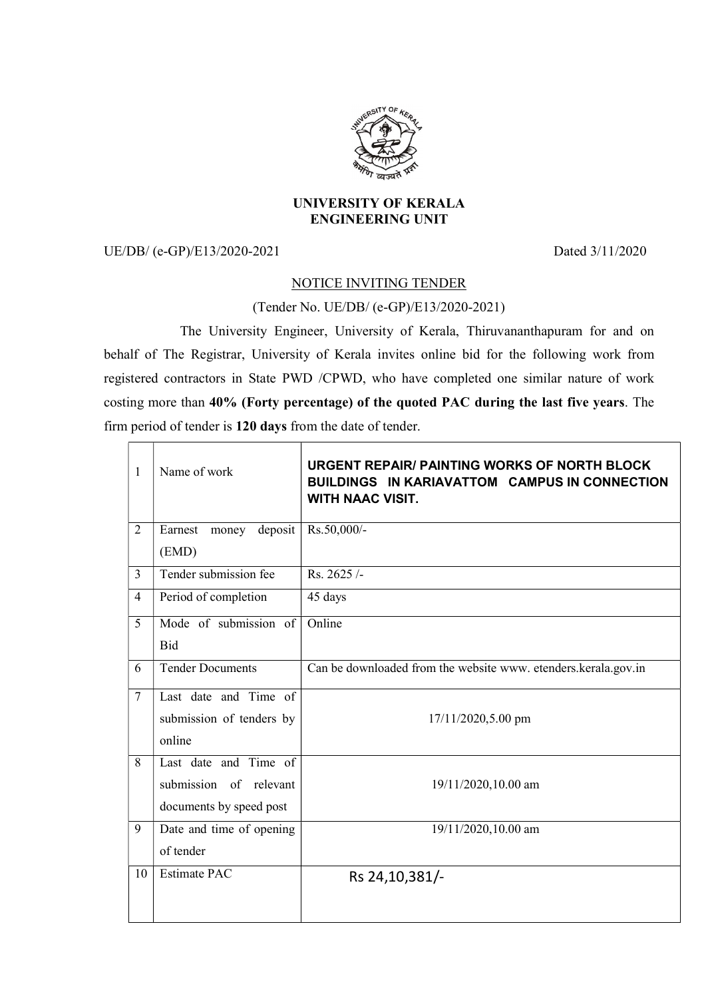

## UNIVERSITY OF KERALA ENGINEERING UNIT

UE/DB/ (e-GP)/E13/2020-2021 Dated 3/11/2020

## NOTICE INVITING TENDER

(Tender No. UE/DB/ (e-GP)/E13/2020-2021)

 The University Engineer, University of Kerala, Thiruvananthapuram for and on behalf of The Registrar, University of Kerala invites online bid for the following work from registered contractors in State PWD /CPWD, who have completed one similar nature of work costing more than 40% (Forty percentage) of the quoted PAC during the last five years. The firm period of tender is 120 days from the date of tender.

| $\mathbf{1}$   | Name of work             | <b>URGENT REPAIR/ PAINTING WORKS OF NORTH BLOCK</b><br><b>BUILDINGS IN KARIAVATTOM CAMPUS IN CONNECTION</b><br><b>WITH NAAC VISIT.</b> |
|----------------|--------------------------|----------------------------------------------------------------------------------------------------------------------------------------|
| $\overline{2}$ | money deposit<br>Earnest | Rs.50,000/-                                                                                                                            |
|                | (EMD)                    |                                                                                                                                        |
| $\overline{3}$ | Tender submission fee    | Rs. 2625/-                                                                                                                             |
| $\overline{4}$ | Period of completion     | 45 days                                                                                                                                |
| 5              | Mode of submission of    | Online                                                                                                                                 |
|                | Bid                      |                                                                                                                                        |
| 6              | <b>Tender Documents</b>  | Can be downloaded from the website www. etenders.kerala.gov.in                                                                         |
| $\tau$         | Last date and Time of    |                                                                                                                                        |
|                | submission of tenders by | 17/11/2020,5.00 pm                                                                                                                     |
|                | online                   |                                                                                                                                        |
| 8              | Last date and Time of    |                                                                                                                                        |
|                | submission of relevant   | 19/11/2020,10.00 am                                                                                                                    |
|                | documents by speed post  |                                                                                                                                        |
| 9              | Date and time of opening | 19/11/2020,10.00 am                                                                                                                    |
|                | of tender                |                                                                                                                                        |
| 10             | <b>Estimate PAC</b>      | Rs 24, 10, 381/-                                                                                                                       |
|                |                          |                                                                                                                                        |